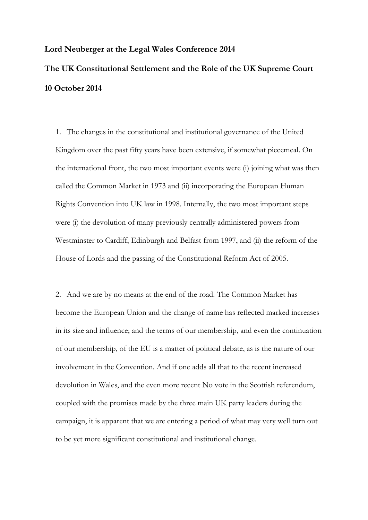## **Lord Neuberger at the Legal Wales Conference 2014 The UK Constitutional Settlement and the Role of the UK Supreme Court 10 October 2014**

1. The changes in the constitutional and institutional governance of the United Kingdom over the past fifty years have been extensive, if somewhat piecemeal. On the international front, the two most important events were (i) joining what was then called the Common Market in 1973 and (ii) incorporating the European Human Rights Convention into UK law in 1998. Internally, the two most important steps were (i) the devolution of many previously centrally administered powers from Westminster to Cardiff, Edinburgh and Belfast from 1997, and (ii) the reform of the House of Lords and the passing of the Constitutional Reform Act of 2005.

2. And we are by no means at the end of the road. The Common Market has become the European Union and the change of name has reflected marked increases in its size and influence; and the terms of our membership, and even the continuation of our membership, of the EU is a matter of political debate, as is the nature of our involvement in the Convention. And if one adds all that to the recent increased devolution in Wales, and the even more recent No vote in the Scottish referendum, coupled with the promises made by the three main UK party leaders during the campaign, it is apparent that we are entering a period of what may very well turn out to be yet more significant constitutional and institutional change.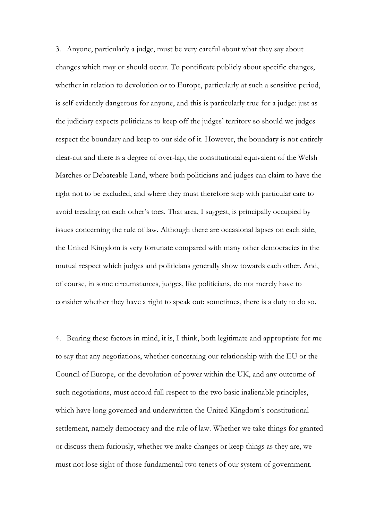3. Anyone, particularly a judge, must be very careful about what they say about changes which may or should occur. To pontificate publicly about specific changes, whether in relation to devolution or to Europe, particularly at such a sensitive period, is self-evidently dangerous for anyone, and this is particularly true for a judge: just as the judiciary expects politicians to keep off the judges' territory so should we judges respect the boundary and keep to our side of it. However, the boundary is not entirely clear-cut and there is a degree of over-lap, the constitutional equivalent of the Welsh Marches or Debateable Land, where both politicians and judges can claim to have the right not to be excluded, and where they must therefore step with particular care to avoid treading on each other's toes. That area, I suggest, is principally occupied by issues concerning the rule of law. Although there are occasional lapses on each side, the United Kingdom is very fortunate compared with many other democracies in the mutual respect which judges and politicians generally show towards each other. And, of course, in some circumstances, judges, like politicians, do not merely have to consider whether they have a right to speak out: sometimes, there is a duty to do so.

4. Bearing these factors in mind, it is, I think, both legitimate and appropriate for me to say that any negotiations, whether concerning our relationship with the EU or the Council of Europe, or the devolution of power within the UK, and any outcome of such negotiations, must accord full respect to the two basic inalienable principles, which have long governed and underwritten the United Kingdom's constitutional settlement, namely democracy and the rule of law. Whether we take things for granted or discuss them furiously, whether we make changes or keep things as they are, we must not lose sight of those fundamental two tenets of our system of government.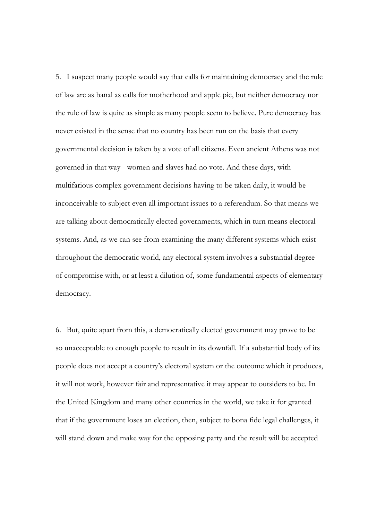5. I suspect many people would say that calls for maintaining democracy and the rule of law are as banal as calls for motherhood and apple pie, but neither democracy nor the rule of law is quite as simple as many people seem to believe. Pure democracy has never existed in the sense that no country has been run on the basis that every governmental decision is taken by a vote of all citizens. Even ancient Athens was not governed in that way - women and slaves had no vote. And these days, with multifarious complex government decisions having to be taken daily, it would be inconceivable to subject even all important issues to a referendum. So that means we are talking about democratically elected governments, which in turn means electoral systems. And, as we can see from examining the many different systems which exist throughout the democratic world, any electoral system involves a substantial degree of compromise with, or at least a dilution of, some fundamental aspects of elementary democracy.

6. But, quite apart from this, a democratically elected government may prove to be so unacceptable to enough people to result in its downfall. If a substantial body of its people does not accept a country's electoral system or the outcome which it produces, it will not work, however fair and representative it may appear to outsiders to be. In the United Kingdom and many other countries in the world, we take it for granted that if the government loses an election, then, subject to bona fide legal challenges, it will stand down and make way for the opposing party and the result will be accepted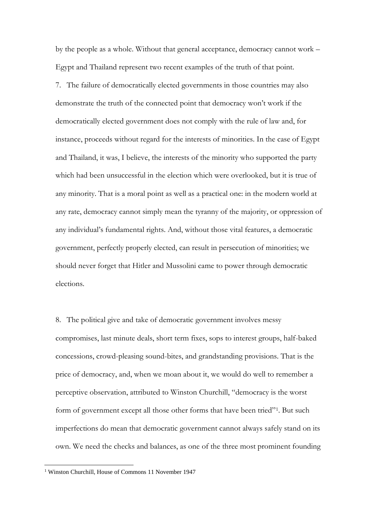by the people as a whole. Without that general acceptance, democracy cannot work – Egypt and Thailand represent two recent examples of the truth of that point.

7. The failure of democratically elected governments in those countries may also demonstrate the truth of the connected point that democracy won't work if the democratically elected government does not comply with the rule of law and, for instance, proceeds without regard for the interests of minorities. In the case of Egypt and Thailand, it was, I believe, the interests of the minority who supported the party which had been unsuccessful in the election which were overlooked, but it is true of any minority. That is a moral point as well as a practical one: in the modern world at any rate, democracy cannot simply mean the tyranny of the majority, or oppression of any individual's fundamental rights. And, without those vital features, a democratic government, perfectly properly elected, can result in persecution of minorities; we should never forget that Hitler and Mussolini came to power through democratic elections.

8. The political give and take of democratic government involves messy compromises, last minute deals, short term fixes, sops to interest groups, half-baked concessions, crowd-pleasing sound-bites, and grandstanding provisions. That is the price of democracy, and, when we moan about it, we would do well to remember a perceptive observation, attributed to Winston Churchill, "democracy is the worst form of government except all those other forms that have been tried"<sup>1</sup>. But such imperfections do mean that democratic government cannot always safely stand on its own. We need the checks and balances, as one of the three most prominent founding

<sup>&</sup>lt;sup>1</sup> Winston Churchill, House of Commons 11 November 1947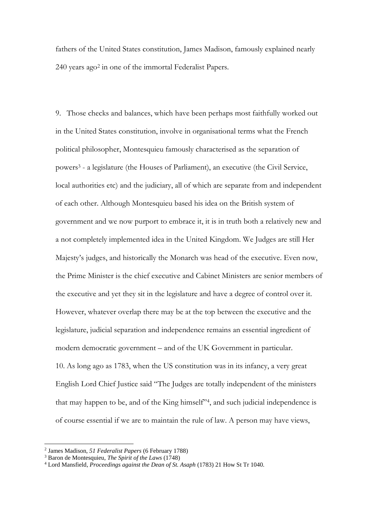fathers of the United States constitution, James Madison, famously explained nearly 240 years ago<sup>2</sup> in one of the immortal Federalist Papers.

9. Those checks and balances, which have been perhaps most faithfully worked out in the United States constitution, involve in organisational terms what the French political philosopher, Montesquieu famously characterised as the separation of powers<sup>3</sup> - a legislature (the Houses of Parliament), an executive (the Civil Service, local authorities etc) and the judiciary, all of which are separate from and independent of each other. Although Montesquieu based his idea on the British system of government and we now purport to embrace it, it is in truth both a relatively new and a not completely implemented idea in the United Kingdom. We Judges are still Her Majesty's judges, and historically the Monarch was head of the executive. Even now, the Prime Minister is the chief executive and Cabinet Ministers are senior members of the executive and yet they sit in the legislature and have a degree of control over it. However, whatever overlap there may be at the top between the executive and the legislature, judicial separation and independence remains an essential ingredient of modern democratic government – and of the UK Government in particular. 10. As long ago as 1783, when the US constitution was in its infancy, a very great English Lord Chief Justice said "The Judges are totally independent of the ministers that may happen to be, and of the King himself"<sup>4</sup> , and such judicial independence is of course essential if we are to maintain the rule of law. A person may have views,

<sup>2</sup> James Madison, *51 Federalist Papers* (6 February 1788)

<sup>3</sup> Baron de Montesquieu, *The Spirit of the Laws* (1748)

<sup>4</sup> [Lord Mansfield,](http://en.wikiquote.org/wiki/William_Murray,_1st_Earl_of_Mansfield) *Proceedings against the Dean of St. Asaph* (1783) 21 How St Tr 1040.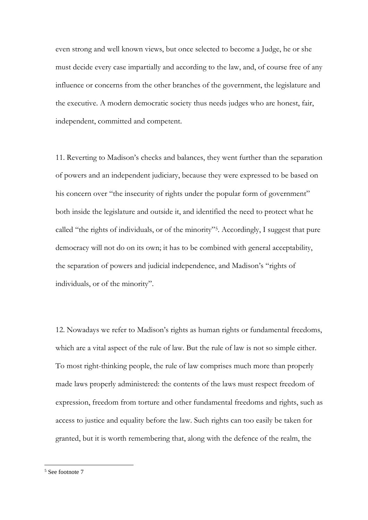even strong and well known views, but once selected to become a Judge, he or she must decide every case impartially and according to the law, and, of course free of any influence or concerns from the other branches of the government, the legislature and the executive. A modern democratic society thus needs judges who are honest, fair, independent, committed and competent.

11. Reverting to Madison's checks and balances, they went further than the separation of powers and an independent judiciary, because they were expressed to be based on his concern over "the insecurity of rights under the popular form of government" both inside the legislature and outside it, and identified the need to protect what he called "the rights of individuals, or of the minority"<sup>5</sup> . Accordingly, I suggest that pure democracy will not do on its own; it has to be combined with general acceptability, the separation of powers and judicial independence, and Madison's "rights of individuals, or of the minority".

12. Nowadays we refer to Madison's rights as human rights or fundamental freedoms, which are a vital aspect of the rule of law. But the rule of law is not so simple either. To most right-thinking people, the rule of law comprises much more than properly made laws properly administered: the contents of the laws must respect freedom of expression, freedom from torture and other fundamental freedoms and rights, such as access to justice and equality before the law. Such rights can too easily be taken for granted, but it is worth remembering that, along with the defence of the realm, the

<sup>5</sup> See footnote 7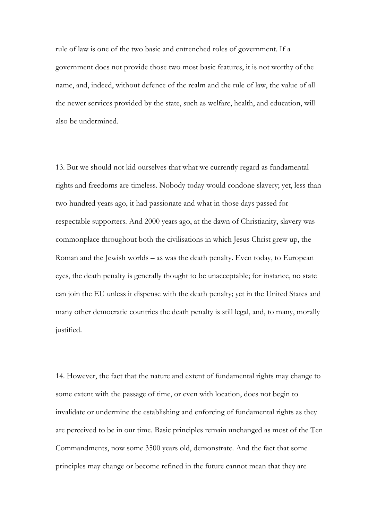rule of law is one of the two basic and entrenched roles of government. If a government does not provide those two most basic features, it is not worthy of the name, and, indeed, without defence of the realm and the rule of law, the value of all the newer services provided by the state, such as welfare, health, and education, will also be undermined.

13. But we should not kid ourselves that what we currently regard as fundamental rights and freedoms are timeless. Nobody today would condone slavery; yet, less than two hundred years ago, it had passionate and what in those days passed for respectable supporters. And 2000 years ago, at the dawn of Christianity, slavery was commonplace throughout both the civilisations in which Jesus Christ grew up, the Roman and the Jewish worlds – as was the death penalty. Even today, to European eyes, the death penalty is generally thought to be unacceptable; for instance, no state can join the EU unless it dispense with the death penalty; yet in the United States and many other democratic countries the death penalty is still legal, and, to many, morally justified.

14. However, the fact that the nature and extent of fundamental rights may change to some extent with the passage of time, or even with location, does not begin to invalidate or undermine the establishing and enforcing of fundamental rights as they are perceived to be in our time. Basic principles remain unchanged as most of the Ten Commandments, now some 3500 years old, demonstrate. And the fact that some principles may change or become refined in the future cannot mean that they are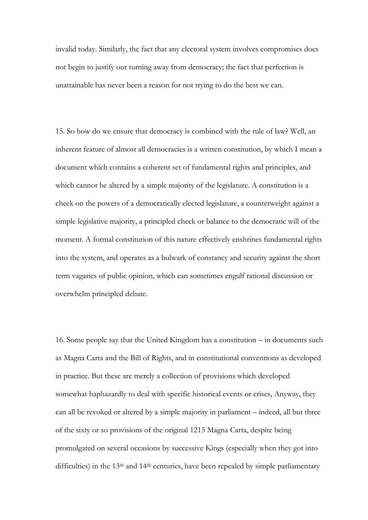invalid today. Similarly, the fact that any electoral system involves compromises does not begin to justify our turning away from democracy; the fact that perfection is unattainable has never been a reason for not trying to do the best we can.

15. So how do we ensure that democracy is combined with the rule of law? Well, an inherent feature of almost all democracies is a written constitution, by which I mean a document which contains a coherent set of fundamental rights and principles, and which cannot be altered by a simple majority of the legislature. A constitution is a check on the powers of a democratically elected legislature, a counterweight against a simple legislative majority, a principled check or balance to the democratic will of the moment. A formal constitution of this nature effectively enshrines fundamental rights into the system, and operates as a bulwark of constancy and security against the short term vagaries of public opinion, which can sometimes engulf rational discussion or overwhelm principled debate.

16. Some people say that the United Kingdom has a constitution – in documents such as Magna Carta and the Bill of Rights, and in constitutional conventions as developed in practice. But these are merely a collection of provisions which developed somewhat haphazardly to deal with specific historical events or crises, Anyway, they can all be revoked or altered by a simple majority in parliament – indeed, all but three of the sixty or so provisions of the original 1215 Magna Carta, despite being promulgated on several occasions by successive Kings (especially when they got into difficulties) in the 13<sup>th</sup> and 14<sup>th</sup> centuries, have been repealed by simple parliamentary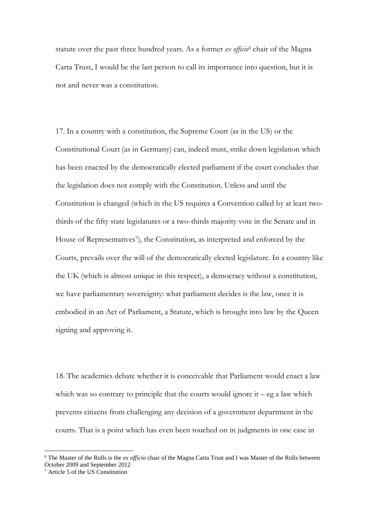statute over the past three hundred years. As a former *ex officio<sup>6</sup>* chair of the Magna Carta Trust, I would be the last person to call its importance into question, but it is not and never was a constitution.

17. In a country with a constitution, the Supreme Court (as in the US) or the Constitutional Court (as in Germany) can, indeed must, strike down legislation which has been enacted by the democratically elected parliament if the court concludes that the legislation does not comply with the Constitution. Unless and until the Constitution is changed (which in the US requires a Convention called by at least twothirds of the fifty state legislatures or a two-thirds majority vote in the Senate and in House of Representatives<sup>7</sup>), the Constitution, as interpreted and enforced by the Courts, prevails over the will of the democratically elected legislature. In a country like the UK (which is almost unique in this respect), a democracy without a constitution, we have parliamentary sovereignty: what parliament decides is the law, once it is embodied in an Act of Parliament, a Statute, which is brought into law by the Queen signing and approving it.

18. The academics debate whether it is conceivable that Parliament would enact a law which was so contrary to principle that the courts would ignore it –  $eg a$  law which prevents citizens from challenging any decision of a government department in the courts. That is a point which has even been touched on in judgments in one case in

1

<sup>6</sup> The Master of the Rolls is the *ex officio* chair of the Magna Carta Trust and I was Master of the Rolls between October 2009 and September 2012

<sup>7</sup> Article 5 of the US Constitution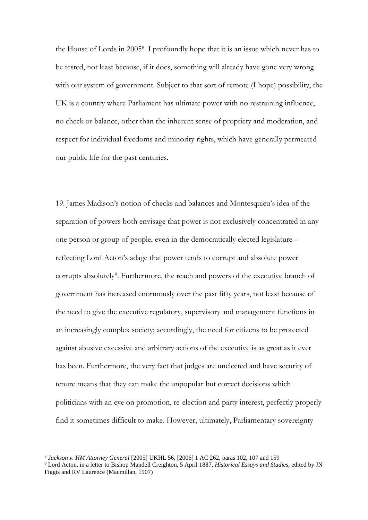the House of Lords in 2005<sup>8</sup> . I profoundly hope that it is an issue which never has to be tested, not least because, if it does, something will already have gone very wrong with our system of government. Subject to that sort of remote (I hope) possibility, the UK is a country where Parliament has ultimate power with no restraining influence, no check or balance, other than the inherent sense of propriety and moderation, and respect for individual freedoms and minority rights, which have generally permeated our public life for the past centuries.

19. James Madison's notion of checks and balances and Montesquieu's idea of the separation of powers both envisage that power is not exclusively concentrated in any one person or group of people, even in the democratically elected legislature – reflecting Lord Acton's adage that power tends to corrupt and absolute power corrupts absolutely<sup>9</sup>. Furthermore, the reach and powers of the executive branch of government has increased enormously over the past fifty years, not least because of the need to give the executive regulatory, supervisory and management functions in an increasingly complex society; accordingly, the need for citizens to be protected against abusive excessive and arbitrary actions of the executive is as great as it ever has been. Furthermore, the very fact that judges are unelected and have security of tenure means that they can make the unpopular but correct decisions which politicians with an eye on promotion, re-election and party interest, perfectly properly find it sometimes difficult to make. However, ultimately, Parliamentary sovereignty

1

<sup>8</sup> *Jackson v. HM Attorney General* [2005] UKHL 56, [2006] 1 AC 262, paras 102, 107 and 159

<sup>9</sup> Lord Acton, in a [letter to Bishop Mandell Creighton, 5 April 1887,](http://history.hanover.edu/courses/excerpts/165acton.html) *Historical Essays and Studies*, edited by JN Figgis and RV Laurence (Macmillan, 1907)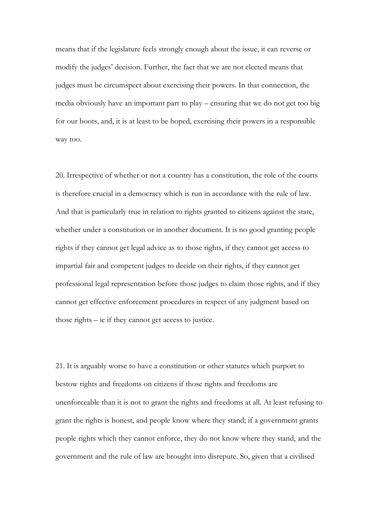means that if the legislature feels strongly enough about the issue, it can reverse or modify the judges' decision. Further, the fact that we are not elected means that judges must be circumspect about exercising their powers. In that connection, the media obviously have an important part to play – ensuring that we do not get too big for our boots, and, it is at least to be hoped, exercising their powers in a responsible way too.

20. Irrespective of whether or not a country has a constitution, the role of the courts is therefore crucial in a democracy which is run in accordance with the rule of law. And that is particularly true in relation to rights granted to citizens against the state, whether under a constitution or in another document. It is no good granting people rights if they cannot get legal advice as to those rights, if they cannot get access to impartial fair and competent judges to decide on their rights, if they cannot get professional legal representation before those judges to claim those rights, and if they cannot get effective enforcement procedures in respect of any judgment based on those rights – ie if they cannot get access to justice.

21. It is arguably worse to have a constitution or other statutes which purport to bestow rights and freedoms on citizens if those rights and freedoms are unenforceable than it is not to grant the rights and freedoms at all. At least refusing to grant the rights is honest, and people know where they stand; if a government grants people rights which they cannot enforce, they do not know where they stand, and the government and the rule of law are brought into disrepute. So, given that a civilised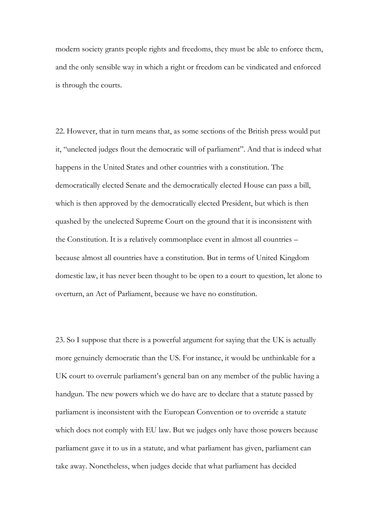modern society grants people rights and freedoms, they must be able to enforce them, and the only sensible way in which a right or freedom can be vindicated and enforced is through the courts.

22. However, that in turn means that, as some sections of the British press would put it, "unelected judges flout the democratic will of parliament". And that is indeed what happens in the United States and other countries with a constitution. The democratically elected Senate and the democratically elected House can pass a bill, which is then approved by the democratically elected President, but which is then quashed by the unelected Supreme Court on the ground that it is inconsistent with the Constitution. It is a relatively commonplace event in almost all countries – because almost all countries have a constitution. But in terms of United Kingdom domestic law, it has never been thought to be open to a court to question, let alone to overturn, an Act of Parliament, because we have no constitution.

23. So I suppose that there is a powerful argument for saying that the UK is actually more genuinely democratic than the US. For instance, it would be unthinkable for a UK court to overrule parliament's general ban on any member of the public having a handgun. The new powers which we do have are to declare that a statute passed by parliament is inconsistent with the European Convention or to override a statute which does not comply with EU law. But we judges only have those powers because parliament gave it to us in a statute, and what parliament has given, parliament can take away. Nonetheless, when judges decide that what parliament has decided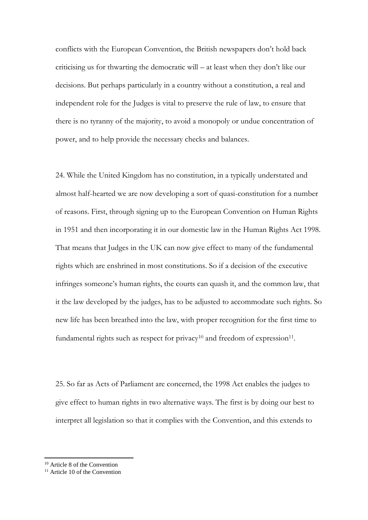conflicts with the European Convention, the British newspapers don't hold back criticising us for thwarting the democratic will – at least when they don't like our decisions. But perhaps particularly in a country without a constitution, a real and independent role for the Judges is vital to preserve the rule of law, to ensure that there is no tyranny of the majority, to avoid a monopoly or undue concentration of power, and to help provide the necessary checks and balances.

24. While the United Kingdom has no constitution, in a typically understated and almost half-hearted we are now developing a sort of quasi-constitution for a number of reasons. First, through signing up to the European Convention on Human Rights in 1951 and then incorporating it in our domestic law in the Human Rights Act 1998. That means that Judges in the UK can now give effect to many of the fundamental rights which are enshrined in most constitutions. So if a decision of the executive infringes someone's human rights, the courts can quash it, and the common law, that it the law developed by the judges, has to be adjusted to accommodate such rights. So new life has been breathed into the law, with proper recognition for the first time to fundamental rights such as respect for privacy<sup>10</sup> and freedom of expression<sup>11</sup>.

25. So far as Acts of Parliament are concerned, the 1998 Act enables the judges to give effect to human rights in two alternative ways. The first is by doing our best to interpret all legislation so that it complies with the Convention, and this extends to

<sup>10</sup> Article 8 of the Convention

 $11$  Article 10 of the Convention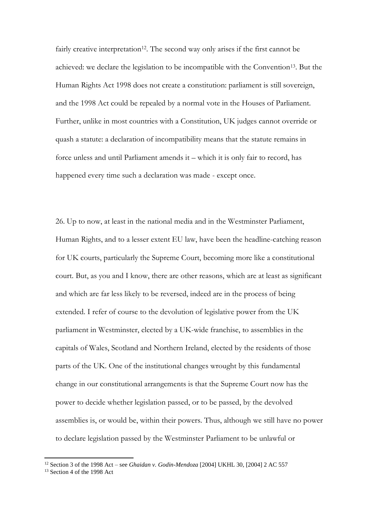fairly creative interpretation<sup>12</sup>. The second way only arises if the first cannot be achieved: we declare the legislation to be incompatible with the Convention13. But the Human Rights Act 1998 does not create a constitution: parliament is still sovereign, and the 1998 Act could be repealed by a normal vote in the Houses of Parliament. Further, unlike in most countries with a Constitution, UK judges cannot override or quash a statute: a declaration of incompatibility means that the statute remains in force unless and until Parliament amends it – which it is only fair to record, has happened every time such a declaration was made - except once.

26. Up to now, at least in the national media and in the Westminster Parliament, Human Rights, and to a lesser extent EU law, have been the headline-catching reason for UK courts, particularly the Supreme Court, becoming more like a constitutional court. But, as you and I know, there are other reasons, which are at least as significant and which are far less likely to be reversed, indeed are in the process of being extended. I refer of course to the devolution of legislative power from the UK parliament in Westminster, elected by a UK-wide franchise, to assemblies in the capitals of Wales, Scotland and Northern Ireland, elected by the residents of those parts of the UK. One of the institutional changes wrought by this fundamental change in our constitutional arrangements is that the Supreme Court now has the power to decide whether legislation passed, or to be passed, by the devolved assemblies is, or would be, within their powers. Thus, although we still have no power to declare legislation passed by the Westminster Parliament to be unlawful or

<sup>12</sup> Section 3 of the 1998 Act – see *[Ghaidan v. Godin-Mendoza](http://www.bailii.org/uk/cases/UKHL/2004/30.html)* [2004] UKHL 30, [2004] 2 AC 557

<sup>&</sup>lt;sup>13</sup> Section 4 of the 1998 Act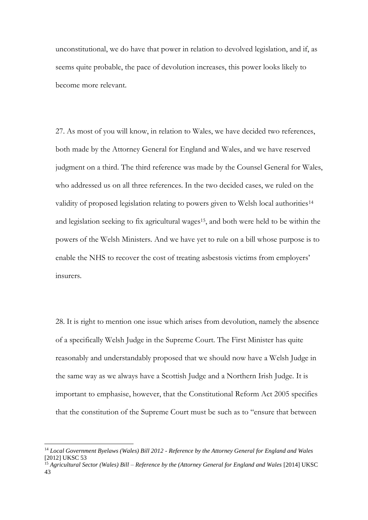unconstitutional, we do have that power in relation to devolved legislation, and if, as seems quite probable, the pace of devolution increases, this power looks likely to become more relevant.

27. As most of you will know, in relation to Wales, we have decided two references, both made by the Attorney General for England and Wales, and we have reserved judgment on a third. The third reference was made by the Counsel General for Wales, who addressed us on all three references. In the two decided cases, we ruled on the validity of proposed legislation relating to powers given to Welsh local authorities<sup>14</sup> and legislation seeking to fix agricultural wages<sup>15</sup>, and both were held to be within the powers of the Welsh Ministers. And we have yet to rule on a bill whose purpose is to enable the NHS to recover the cost of treating asbestosis victims from employers' insurers.

28. It is right to mention one issue which arises from devolution, namely the absence of a specifically Welsh Judge in the Supreme Court. The First Minister has quite reasonably and understandably proposed that we should now have a Welsh Judge in the same way as we always have a Scottish Judge and a Northern Irish Judge. It is important to emphasise, however, that the Constitutional Reform Act 2005 specifies that the constitution of the Supreme Court must be such as to "ensure that between

<sup>14</sup> *Local Government Byelaws (Wales) Bill 2012 - Reference by the Attorney General for England and Wales* [2012] UKSC 53

<sup>&</sup>lt;sup>15</sup> Agricultural Sector (Wales) Bill – [Reference by the \(Attorney General for England and Wales](http://www.bailii.org/uk/cases/UKSC/2014/43.html) [2014] UKSC [43](http://www.bailii.org/uk/cases/UKSC/2014/43.html)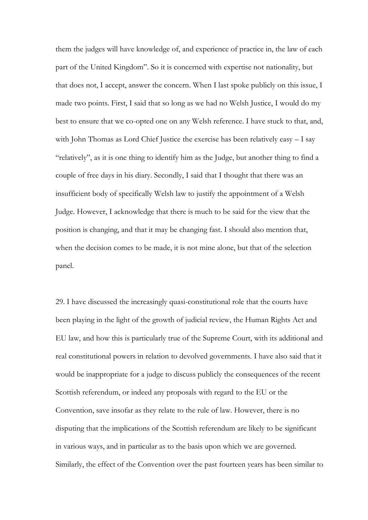them the judges will have knowledge of, and experience of practice in, the law of each part of the United Kingdom". So it is concerned with expertise not nationality, but that does not, I accept, answer the concern. When I last spoke publicly on this issue, I made two points. First, I said that so long as we had no Welsh Justice, I would do my best to ensure that we co-opted one on any Welsh reference. I have stuck to that, and, with John Thomas as Lord Chief Justice the exercise has been relatively easy – I say "relatively", as it is one thing to identify him as the Judge, but another thing to find a couple of free days in his diary. Secondly, I said that I thought that there was an insufficient body of specifically Welsh law to justify the appointment of a Welsh Judge. However, I acknowledge that there is much to be said for the view that the position is changing, and that it may be changing fast. I should also mention that, when the decision comes to be made, it is not mine alone, but that of the selection panel.

29. I have discussed the increasingly quasi-constitutional role that the courts have been playing in the light of the growth of judicial review, the Human Rights Act and EU law, and how this is particularly true of the Supreme Court, with its additional and real constitutional powers in relation to devolved governments. I have also said that it would be inappropriate for a judge to discuss publicly the consequences of the recent Scottish referendum, or indeed any proposals with regard to the EU or the Convention, save insofar as they relate to the rule of law. However, there is no disputing that the implications of the Scottish referendum are likely to be significant in various ways, and in particular as to the basis upon which we are governed. Similarly, the effect of the Convention over the past fourteen years has been similar to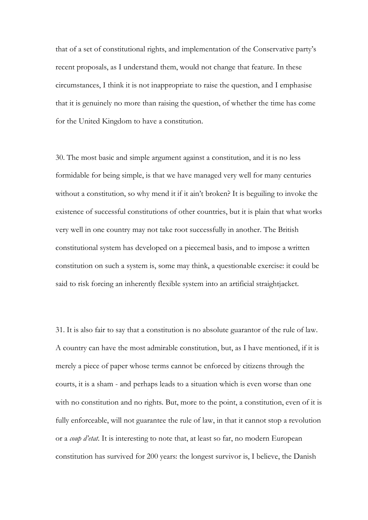that of a set of constitutional rights, and implementation of the Conservative party's recent proposals, as I understand them, would not change that feature. In these circumstances, I think it is not inappropriate to raise the question, and I emphasise that it is genuinely no more than raising the question, of whether the time has come for the United Kingdom to have a constitution.

30. The most basic and simple argument against a constitution, and it is no less formidable for being simple, is that we have managed very well for many centuries without a constitution, so why mend it if it ain't broken? It is beguiling to invoke the existence of successful constitutions of other countries, but it is plain that what works very well in one country may not take root successfully in another. The British constitutional system has developed on a piecemeal basis, and to impose a written constitution on such a system is, some may think, a questionable exercise: it could be said to risk forcing an inherently flexible system into an artificial straightjacket.

31. It is also fair to say that a constitution is no absolute guarantor of the rule of law. A country can have the most admirable constitution, but, as I have mentioned, if it is merely a piece of paper whose terms cannot be enforced by citizens through the courts, it is a sham - and perhaps leads to a situation which is even worse than one with no constitution and no rights. But, more to the point, a constitution, even of it is fully enforceable, will not guarantee the rule of law, in that it cannot stop a revolution or a *coup d'etat*. It is interesting to note that, at least so far, no modern European constitution has survived for 200 years: the longest survivor is, I believe, the Danish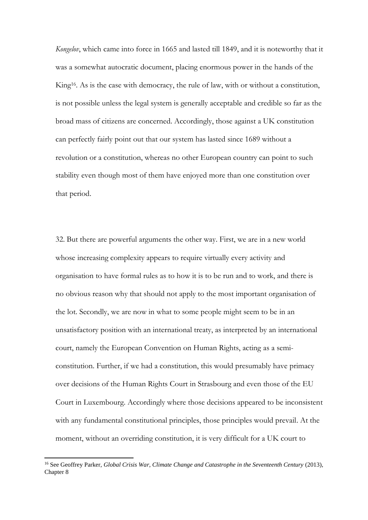*Kongelov*, which came into force in 1665 and lasted till 1849, and it is noteworthy that it was a somewhat autocratic document, placing enormous power in the hands of the King16. As is the case with democracy, the rule of law, with or without a constitution, is not possible unless the legal system is generally acceptable and credible so far as the broad mass of citizens are concerned. Accordingly, those against a UK constitution can perfectly fairly point out that our system has lasted since 1689 without a revolution or a constitution, whereas no other European country can point to such stability even though most of them have enjoyed more than one constitution over that period.

32. But there are powerful arguments the other way. First, we are in a new world whose increasing complexity appears to require virtually every activity and organisation to have formal rules as to how it is to be run and to work, and there is no obvious reason why that should not apply to the most important organisation of the lot. Secondly, we are now in what to some people might seem to be in an unsatisfactory position with an international treaty, as interpreted by an international court, namely the European Convention on Human Rights, acting as a semiconstitution. Further, if we had a constitution, this would presumably have primacy over decisions of the Human Rights Court in Strasbourg and even those of the EU Court in Luxembourg. Accordingly where those decisions appeared to be inconsistent with any fundamental constitutional principles, those principles would prevail. At the moment, without an overriding constitution, it is very difficult for a UK court to

<sup>16</sup> See Geoffrey Parker, *Global Crisis War, Climate Change and Catastrophe in the Seventeenth Century* (2013), Chapter 8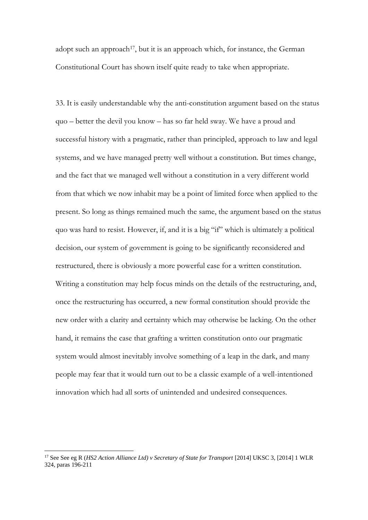adopt such an approach<sup>17</sup>, but it is an approach which, for instance, the German Constitutional Court has shown itself quite ready to take when appropriate.

33. It is easily understandable why the anti-constitution argument based on the status quo – better the devil you know – has so far held sway. We have a proud and successful history with a pragmatic, rather than principled, approach to law and legal systems, and we have managed pretty well without a constitution. But times change, and the fact that we managed well without a constitution in a very different world from that which we now inhabit may be a point of limited force when applied to the present. So long as things remained much the same, the argument based on the status quo was hard to resist. However, if, and it is a big "if" which is ultimately a political decision, our system of government is going to be significantly reconsidered and restructured, there is obviously a more powerful case for a written constitution. Writing a constitution may help focus minds on the details of the restructuring, and, once the restructuring has occurred, a new formal constitution should provide the new order with a clarity and certainty which may otherwise be lacking. On the other hand, it remains the case that grafting a written constitution onto our pragmatic system would almost inevitably involve something of a leap in the dark, and many people may fear that it would turn out to be a classic example of a well-intentioned innovation which had all sorts of unintended and undesired consequences.

1

<sup>17</sup> See See eg R (*HS2 Action Alliance Ltd) v Secretary of State for Transport* [2014] UKSC 3, [2014] 1 WLR 324, paras 196-211